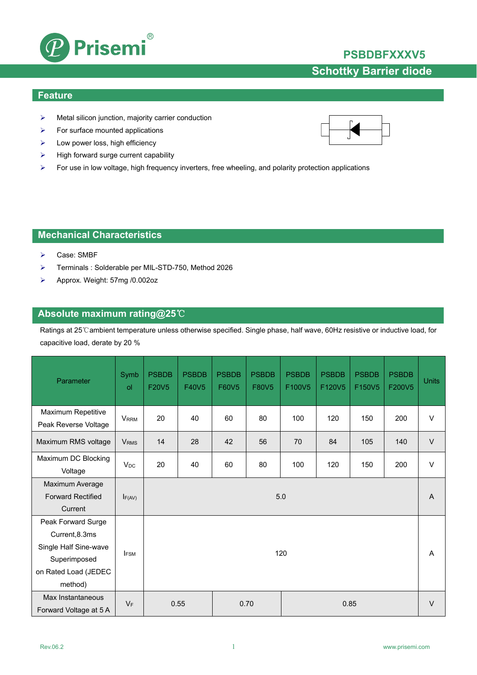

## **PSBDBFXXXV5**

# **Schottky Barrier diode**

### **Feature**

- $\triangleright$  Metal silicon junction, majority carrier conduction
- $\triangleright$  For surface mounted applications
- $\blacktriangleright$  Low power loss, high efficiency
- $\triangleright$  High forward surge current capability
- For use in low voltage, high frequency inverters, free wheeling, and polarity protection applications

### **Mechanical Characteristics**

- Case: SMBF
- Terminals : Solderable per MIL-STD-750, Method 2026
- Approx. Weight: 57mg /0.002oz

### **Absolute maximum rating@25**℃

Ratings at 25℃ambient temperature unless otherwise specified. Single phase, half wave, 60Hz resistive or inductive load, for capacitive load, derate by 20 %

| Parameter                                                                                                        | Symb<br>ol              | <b>PSBDB</b><br>F20V5 | <b>PSBDB</b><br>F40V5 | <b>PSBDB</b><br>F60V5 | <b>PSBDB</b><br>F80V5 | <b>PSBDB</b><br>F100V5 | <b>PSBDB</b><br>F120V5 | <b>PSBDB</b><br>F150V5 | <b>PSBDB</b><br>F200V5 | <b>Units</b> |
|------------------------------------------------------------------------------------------------------------------|-------------------------|-----------------------|-----------------------|-----------------------|-----------------------|------------------------|------------------------|------------------------|------------------------|--------------|
| Maximum Repetitive<br>Peak Reverse Voltage                                                                       | <b>VRRM</b>             | 20                    | 40                    | 60                    | 80                    | 100                    | 120                    | 150                    | 200                    | $\vee$       |
| Maximum RMS voltage                                                                                              | <b>V</b> <sub>RMS</sub> | 14                    | 28                    | 42                    | 56                    | 70                     | 84                     | 105                    | 140                    | $\vee$       |
| Maximum DC Blocking<br>Voltage                                                                                   | $V_{DC}$                | 20                    | 40                    | 60                    | 80                    | 100                    | 120                    | 150                    | 200                    | $\vee$       |
| Maximum Average<br><b>Forward Rectified</b><br>Current                                                           | $I_{F(AV)}$             | 5.0                   |                       |                       |                       |                        |                        |                        | A                      |              |
| Peak Forward Surge<br>Current, 8.3ms<br>Single Half Sine-wave<br>Superimposed<br>on Rated Load (JEDEC<br>method) | <b>I</b> FSM            | 120                   |                       |                       |                       |                        |                        |                        | A                      |              |
| Max Instantaneous<br>Forward Voltage at 5 A                                                                      | $V_F$                   | 0.55<br>0.85<br>0.70  |                       |                       |                       |                        |                        |                        |                        |              |

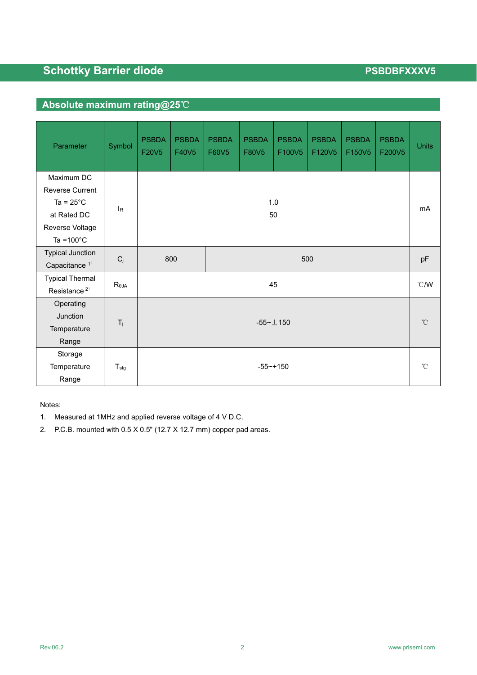## **Absolute maximum rating@25**℃

| Parameter                                                                                                             | Symbol                | <b>PSBDA</b><br>F20V5 | <b>PSBDA</b><br>F40V5 | <b>PSBDA</b><br>F60V5 | <b>PSBDA</b><br>F80V5 | <b>PSBDA</b><br>F100V5 | <b>PSBDA</b><br>F120V5 | <b>PSBDA</b><br>F150V5 | <b>PSBDA</b><br>F200V5 | <b>Units</b> |
|-----------------------------------------------------------------------------------------------------------------------|-----------------------|-----------------------|-----------------------|-----------------------|-----------------------|------------------------|------------------------|------------------------|------------------------|--------------|
| Maximum DC<br><b>Reverse Current</b><br>Ta = $25^{\circ}$ C<br>at Rated DC<br>Reverse Voltage<br>Ta = $100^{\circ}$ C | <b>l</b> <sub>R</sub> | 1.0<br>50             |                       |                       |                       |                        | mA                     |                        |                        |              |
| <b>Typical Junction</b><br>Capacitance <sup>1)</sup>                                                                  | $C_j$                 |                       | 800                   | 500                   |                       |                        |                        |                        |                        |              |
| <b>Typical Thermal</b><br>Resistance <sup>2)</sup>                                                                    | $R_{\theta JA}$       | 45                    |                       |                       |                       |                        |                        | $\degree$ C/W          |                        |              |
| Operating<br>Junction<br>Temperature<br>Range                                                                         | $T_j$                 | $-55 - \pm 150$       |                       |                       |                       |                        |                        | $^{\circ}$ C           |                        |              |
| Storage<br>Temperature<br>Range                                                                                       | $T_{\text{stg}}$      | $-55 - + 150$         |                       |                       |                       |                        |                        | $^{\circ}$ C           |                        |              |

Notes:

- 1. Measured at 1MHz and applied reverse voltage of 4 V D.C.
- 2. P.C.B. mounted with 0.5 X 0.5" (12.7 X 12.7 mm) copper pad areas.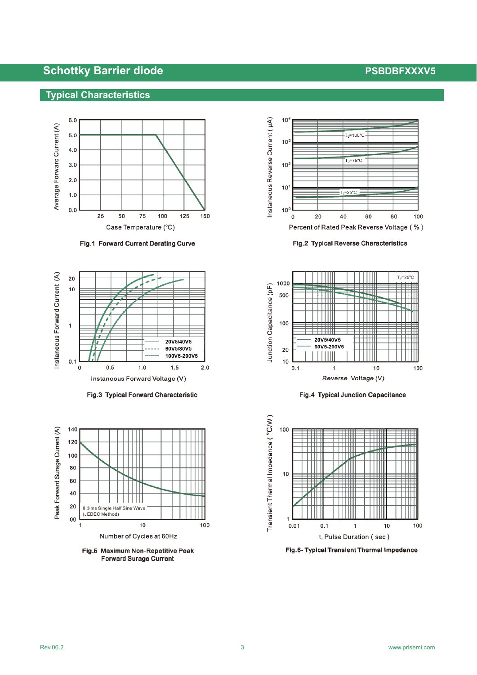### **Typical Characteristics**



Fig.1 Forward Current Derating Curve



Fig.3 Typical Forward Characteristic



Fig.5 Maximum Non-Repetitive Peak **Forward Surage Current** 



Fig.2 Typical Reverse Characteristics



Fig.4 Typical Junction Capacitance



Fig.6- Typical Transient Thermal Impedance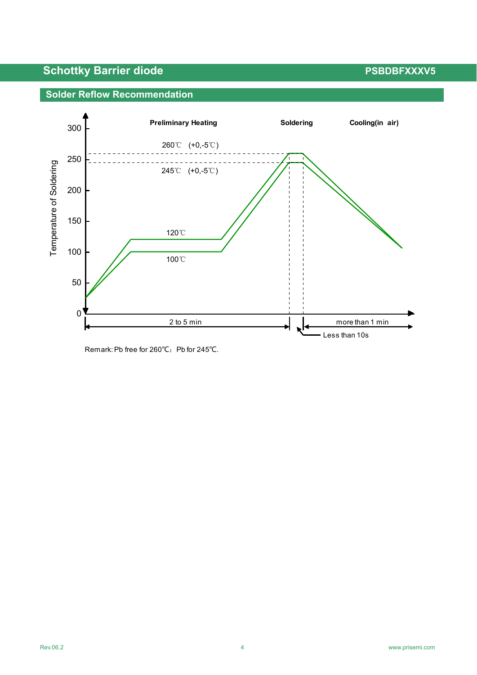



Remark: Pb free for 260℃; Pb for 245℃.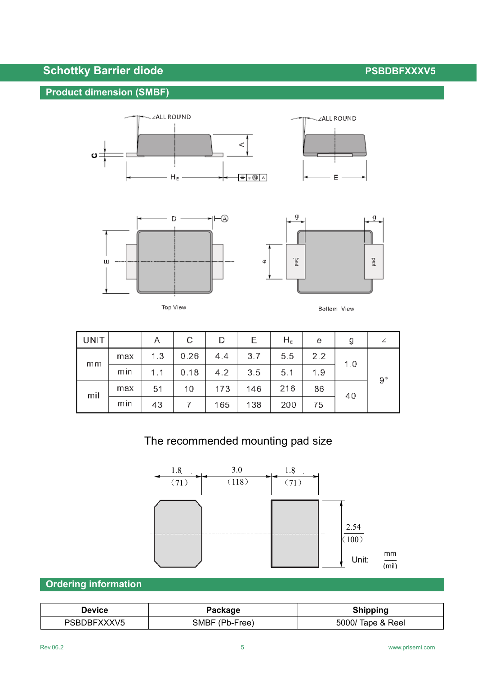## **Product dimension (SMBF)**







|--|--|



| UNIT |     | Α   | с    | D   | Е   | $H_{E}$ | е   | g   |             |
|------|-----|-----|------|-----|-----|---------|-----|-----|-------------|
| mm   | max | 1.3 | 0.26 | 4.4 | 3.7 | 5.5     | 2.2 | 1.0 | $9^{\circ}$ |
|      | min | 1.1 | 0.18 | 4.2 | 3.5 | 5.1     | 1.9 |     |             |
| mil  | max | 51  | 10   | 173 | 146 | 216     | 86  | 40  |             |
|      | mın | 43  |      | 165 | 138 | 200     | 75  |     |             |

# The recommended mounting pad size



## **Ordering information**

| Device      | Package        | <b>Shipping</b>   |  |  |  |
|-------------|----------------|-------------------|--|--|--|
| PSBDBFXXXV5 | SMBF (Pb-Free) | 5000/ Tape & Reel |  |  |  |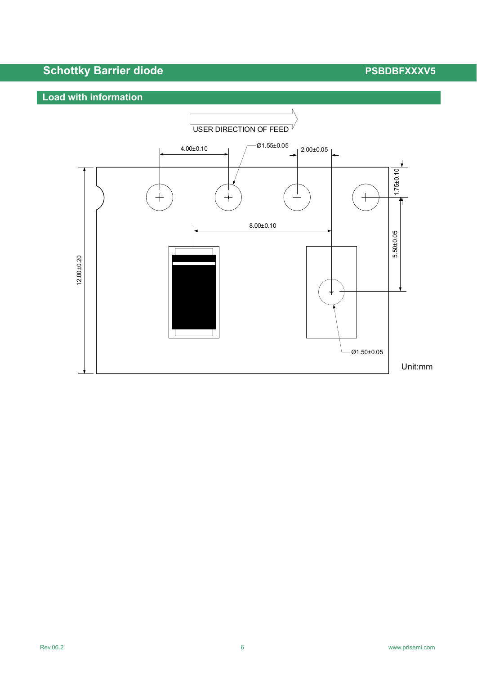# **Load with information**